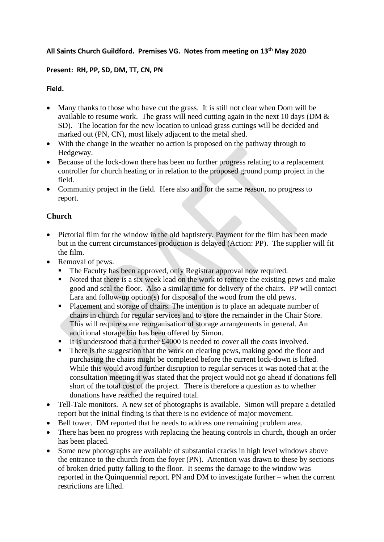## **All Saints Church Guildford. Premises VG. Notes from meeting on 13th May 2020**

## **Present: RH, PP, SD, DM, TT, CN, PN**

## **Field.**

- Many thanks to those who have cut the grass. It is still not clear when Dom will be available to resume work. The grass will need cutting again in the next 10 days (DM & SD). The location for the new location to unload grass cuttings will be decided and marked out (PN, CN), most likely adjacent to the metal shed.
- With the change in the weather no action is proposed on the pathway through to Hedgeway.
- Because of the lock-down there has been no further progress relating to a replacement controller for church heating or in relation to the proposed ground pump project in the field.
- Community project in the field. Here also and for the same reason, no progress to report.

# **Church**

- Pictorial film for the window in the old baptistery. Payment for the film has been made but in the current circumstances production is delayed (Action: PP). The supplier will fit the film.
- Removal of pews.
	- The Faculty has been approved, only Registrar approval now required.<br>■ Noted that there is a six week lead on the work to remove the existing t
	- Noted that there is a six week lead on the work to remove the existing pews and make good and seal the floor. Also a similar time for delivery of the chairs. PP will contact Lara and follow-up option(s) for disposal of the wood from the old pews.
	- Placement and storage of chairs. The intention is to place an adequate number of chairs in church for regular services and to store the remainder in the Chair Store. This will require some reorganisation of storage arrangements in general. An additional storage bin has been offered by Simon.
	- It is understood that a further  $£4000$  is needed to cover all the costs involved.
	- **•** There is the suggestion that the work on clearing pews, making good the floor and purchasing the chairs might be completed before the current lock-down is lifted. While this would avoid further disruption to regular services it was noted that at the consultation meeting it was stated that the project would not go ahead if donations fell short of the total cost of the project. There is therefore a question as to whether donations have reached the required total.
- Tell-Tale monitors. A new set of photographs is available. Simon will prepare a detailed report but the initial finding is that there is no evidence of major movement.
- Bell tower. DM reported that he needs to address one remaining problem area.
- There has been no progress with replacing the heating controls in church, though an order has been placed.
- Some new photographs are available of substantial cracks in high level windows above the entrance to the church from the foyer (PN). Attention was drawn to these by sections of broken dried putty falling to the floor. It seems the damage to the window was reported in the Quinquennial report. PN and DM to investigate further – when the current restrictions are lifted.